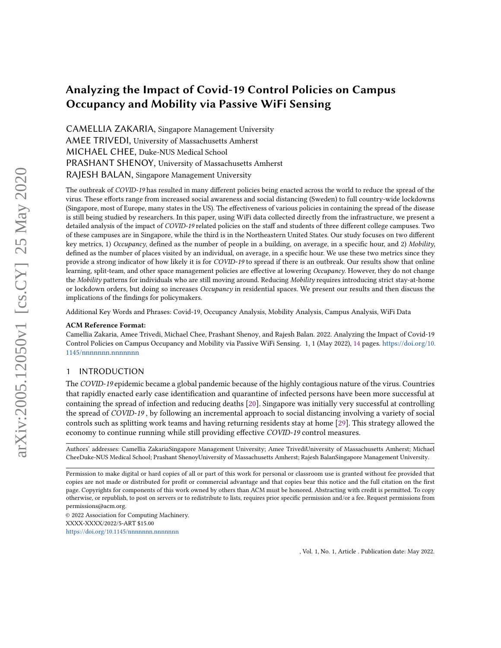# Analyzing the Impact of Covid-19 Control Policies on Campus Occupancy and Mobility via Passive WiFi Sensing

CAMELLIA ZAKARIA, Singapore Management University AMEE TRIVEDI, University of Massachusetts Amherst MICHAEL CHEE, Duke-NUS Medical School PRASHANT SHENOY, University of Massachusetts Amherst RAJESH BALAN, Singapore Management University

The outbreak of COVID-19 has resulted in many different policies being enacted across the world to reduce the spread of the virus. These efforts range from increased social awareness and social distancing (Sweden) to full country-wide lockdowns (Singapore, most of Europe, many states in the US). The effectiveness of various policies in containing the spread of the disease is still being studied by researchers. In this paper, using WiFi data collected directly from the infrastructure, we present a detailed analysis of the impact of COVID-19 related policies on the staff and students of three different college campuses. Two of these campuses are in Singapore, while the third is in the Northeastern United States. Our study focuses on two different key metrics, 1) Occupancy, defined as the number of people in a building, on average, in a specific hour, and 2) Mobility, defined as the number of places visited by an individual, on average, in a specific hour. We use these two metrics since they provide a strong indicator of how likely it is for COVID-19 to spread if there is an outbreak. Our results show that online learning, split-team, and other space management policies are effective at lowering Occupancy. However, they do not change the Mobility patterns for individuals who are still moving around. Reducing Mobility requires introducing strict stay-at-home or lockdown orders, but doing so increases Occupancy in residential spaces. We present our results and then discuss the implications of the findings for policymakers.

Additional Key Words and Phrases: Covid-19, Occupancy Analysis, Mobility Analysis, Campus Analysis, WiFi Data

#### ACM Reference Format:

Camellia Zakaria, Amee Trivedi, Michael Chee, Prashant Shenoy, and Rajesh Balan. 2022. Analyzing the Impact of Covid-19 Control Policies on Campus Occupancy and Mobility via Passive WiFi Sensing. 1, 1 (May 2022), [14](#page-13-0) pages. [https://doi.org/10.](https://doi.org/10.1145/nnnnnnn.nnnnnnn) [1145/nnnnnnn.nnnnnnn](https://doi.org/10.1145/nnnnnnn.nnnnnnn)

## 1 INTRODUCTION

The COVID-19 epidemic became a global pandemic because of the highly contagious nature of the virus. Countries that rapidly enacted early case identification and quarantine of infected persons have been more successful at containing the spread of infection and reducing deaths [\[20\]](#page-13-1). Singapore was initially very successful at controlling the spread of COVID-19 , by following an incremental approach to social distancing involving a variety of social controls such as splitting work teams and having returning residents stay at home [\[29\]](#page-13-2). This strategy allowed the economy to continue running while still providing effective COVID-19 control measures.

Authors' addresses: Camellia ZakariaSingapore Management University; Amee TrivediUniversity of Massachusetts Amherst; Michael CheeDuke-NUS Medical School; Prashant ShenoyUniversity of Massachusetts Amherst; Rajesh BalanSingapore Management University.

© 2022 Association for Computing Machinery. XXXX-XXXX/2022/5-ART \$15.00 <https://doi.org/10.1145/nnnnnnn.nnnnnnn>

Permission to make digital or hard copies of all or part of this work for personal or classroom use is granted without fee provided that copies are not made or distributed for profit or commercial advantage and that copies bear this notice and the full citation on the first page. Copyrights for components of this work owned by others than ACM must be honored. Abstracting with credit is permitted. To copy otherwise, or republish, to post on servers or to redistribute to lists, requires prior specific permission and/or a fee. Request permissions from permissions@acm.org.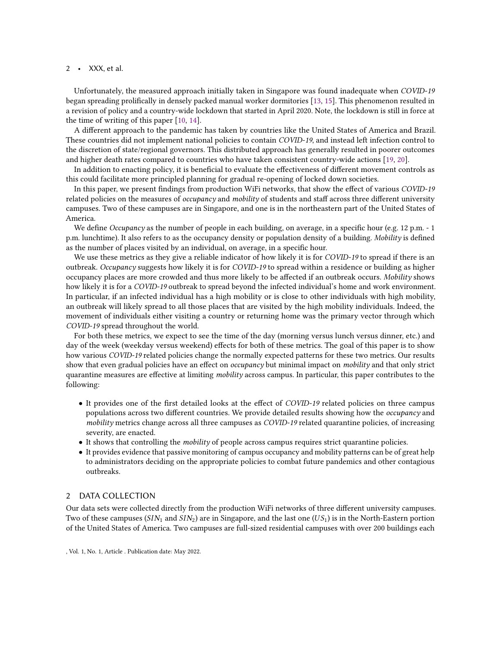Unfortunately, the measured approach initially taken in Singapore was found inadequate when COVID-19 began spreading prolifically in densely packed manual worker dormitories [\[13,](#page-13-3) [15\]](#page-13-4). This phenomenon resulted in a revision of policy and a country-wide lockdown that started in April 2020. Note, the lockdown is still in force at the time of writing of this paper [\[10,](#page-13-5) [14\]](#page-13-6).

A different approach to the pandemic has taken by countries like the United States of America and Brazil. These countries did not implement national policies to contain COVID-19, and instead left infection control to the discretion of state/regional governors. This distributed approach has generally resulted in poorer outcomes and higher death rates compared to countries who have taken consistent country-wide actions [\[19,](#page-13-7) [20\]](#page-13-1).

In addition to enacting policy, it is beneficial to evaluate the effectiveness of different movement controls as this could facilitate more principled planning for gradual re-opening of locked down societies.

In this paper, we present findings from production WiFi networks, that show the effect of various COVID-19 related policies on the measures of occupancy and mobility of students and staff across three different university campuses. Two of these campuses are in Singapore, and one is in the northeastern part of the United States of America.

We define *Occupancy* as the number of people in each building, on average, in a specific hour (e.g. 12 p.m. - 1 p.m. lunchtime). It also refers to as the occupancy density or population density of a building. Mobility is defined as the number of places visited by an individual, on average, in a specific hour.

We use these metrics as they give a reliable indicator of how likely it is for COVID-19 to spread if there is an outbreak. Occupancy suggests how likely it is for COVID-19 to spread within a residence or building as higher occupancy places are more crowded and thus more likely to be affected if an outbreak occurs. Mobility shows how likely it is for a COVID-19 outbreak to spread beyond the infected individual's home and work environment. In particular, if an infected individual has a high mobility or is close to other individuals with high mobility, an outbreak will likely spread to all those places that are visited by the high mobility individuals. Indeed, the movement of individuals either visiting a country or returning home was the primary vector through which COVID-19 spread throughout the world.

For both these metrics, we expect to see the time of the day (morning versus lunch versus dinner, etc.) and day of the week (weekday versus weekend) effects for both of these metrics. The goal of this paper is to show how various COVID-19 related policies change the normally expected patterns for these two metrics. Our results show that even gradual policies have an effect on *occupancy* but minimal impact on *mobility* and that only strict quarantine measures are effective at limiting mobility across campus. In particular, this paper contributes to the following:

- It provides one of the first detailed looks at the effect of COVID-19 related policies on three campus populations across two different countries. We provide detailed results showing how the occupancy and mobility metrics change across all three campuses as COVID-19 related quarantine policies, of increasing severity, are enacted.
- It shows that controlling the mobility of people across campus requires strict quarantine policies.
- It provides evidence that passive monitoring of campus occupancy and mobility patterns can be of great help to administrators deciding on the appropriate policies to combat future pandemics and other contagious outbreaks.

# <span id="page-1-0"></span>2 DATA COLLECTION

Our data sets were collected directly from the production WiFi networks of three different university campuses. Two of these campuses ( $SIN_1$  and  $SIN_2$ ) are in Singapore, and the last one ( $US_1$ ) is in the North-Eastern portion of the United States of America. Two campuses are full-sized residential campuses with over 200 buildings each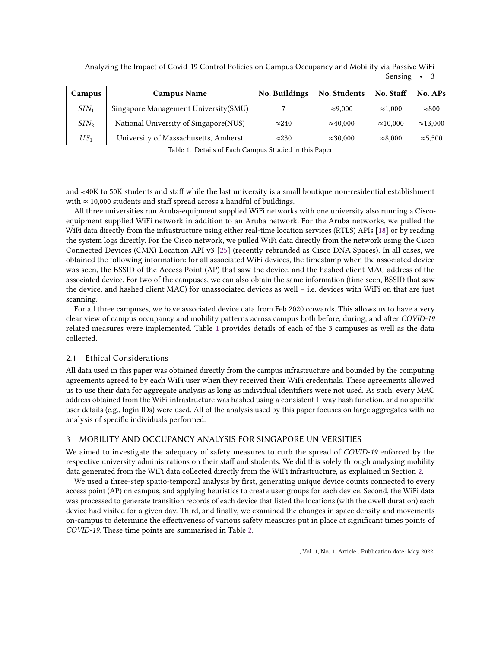Analyzing the Impact of Covid-19 Control Policies on Campus Occupancy and Mobility via Passive WiFi Sensing • 3

<span id="page-2-0"></span>

| Campus  | <b>Campus Name</b>                    | <b>No. Buildings</b> | No. Students     | No. Staff        | No. APs          |
|---------|---------------------------------------|----------------------|------------------|------------------|------------------|
| $SIN_1$ | Singapore Management University(SMU)  |                      | $\approx 9,000$  | $\approx 1.000$  | $\approx 800$    |
| $SIN_2$ | National University of Singapore(NUS) | $\approx$ 240        | $\approx 40,000$ | $\approx$ 10.000 | $\approx$ 13.000 |
| $US_1$  | University of Massachusetts, Amherst  | $\approx$ 230        | $\approx$ 30.000 | $\approx 8,000$  | $\approx 5.500$  |

Table 1. Details of Each Campus Studied in this Paper

and ≈40K to 50K students and staff while the last university is a small boutique non-residential establishment with  $\approx$  10,000 students and staff spread across a handful of buildings.

All three universities run Aruba-equipment supplied WiFi networks with one university also running a Ciscoequipment supplied WiFi network in addition to an Aruba network. For the Aruba networks, we pulled the WiFi data directly from the infrastructure using either real-time location services (RTLS) APIs [\[18\]](#page-13-8) or by reading the system logs directly. For the Cisco network, we pulled WiFi data directly from the network using the Cisco Connected Devices (CMX) Location API v3 [\[25\]](#page-13-9) (recently rebranded as Cisco DNA Spaces). In all cases, we obtained the following information: for all associated WiFi devices, the timestamp when the associated device was seen, the BSSID of the Access Point (AP) that saw the device, and the hashed client MAC address of the associated device. For two of the campuses, we can also obtain the same information (time seen, BSSID that saw the device, and hashed client MAC) for unassociated devices as well – i.e. devices with WiFi on that are just scanning.

For all three campuses, we have associated device data from Feb 2020 onwards. This allows us to have a very clear view of campus occupancy and mobility patterns across campus both before, during, and after COVID-19 related measures were implemented. Table [1](#page-2-0) provides details of each of the 3 campuses as well as the data collected.

# 2.1 Ethical Considerations

All data used in this paper was obtained directly from the campus infrastructure and bounded by the computing agreements agreed to by each WiFi user when they received their WiFi credentials. These agreements allowed us to use their data for aggregate analysis as long as individual identifiers were not used. As such, every MAC address obtained from the WiFi infrastructure was hashed using a consistent 1-way hash function, and no specific user details (e.g., login IDs) were used. All of the analysis used by this paper focuses on large aggregates with no analysis of specific individuals performed.

# <span id="page-2-1"></span>3 MOBILITY AND OCCUPANCY ANALYSIS FOR SINGAPORE UNIVERSITIES

We aimed to investigate the adequacy of safety measures to curb the spread of COVID-19 enforced by the respective university administrations on their staff and students. We did this solely through analysing mobility data generated from the WiFi data collected directly from the WiFi infrastructure, as explained in Section [2.](#page-1-0)

We used a three-step spatio-temporal analysis by first, generating unique device counts connected to every access point (AP) on campus, and applying heuristics to create user groups for each device. Second, the WiFi data was processed to generate transition records of each device that listed the locations (with the dwell duration) each device had visited for a given day. Third, and finally, we examined the changes in space density and movements on-campus to determine the effectiveness of various safety measures put in place at significant times points of COVID-19. These time points are summarised in Table [2.](#page-3-0)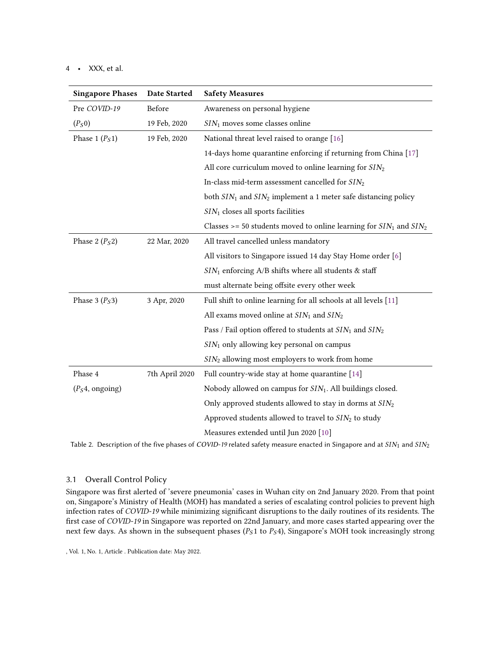<span id="page-3-0"></span>

| <b>Singapore Phases</b>          | <b>Date Started</b> | <b>Safety Measures</b>                                                  |  |
|----------------------------------|---------------------|-------------------------------------------------------------------------|--|
| Pre COVID-19                     | Before              | Awareness on personal hygiene                                           |  |
| $(P_S 0)$                        | 19 Feb, 2020        | $SIN1$ moves some classes online                                        |  |
| Phase 1 $(P_S1)$<br>19 Feb, 2020 |                     | National threat level raised to orange [16]                             |  |
|                                  |                     | 14-days home quarantine enforcing if returning from China [17]          |  |
|                                  |                     | All core curriculum moved to online learning for $SIN2$                 |  |
|                                  |                     | In-class mid-term assessment cancelled for $SIN_2$                      |  |
|                                  |                     | both $SIN_1$ and $SIN_2$ implement a 1 meter safe distancing policy     |  |
|                                  |                     | $SIN1$ closes all sports facilities                                     |  |
|                                  |                     | Classes >= 50 students moved to online learning for $SIN_1$ and $SIN_2$ |  |
| Phase 2 $(P_S2)$                 | 22 Mar, 2020        | All travel cancelled unless mandatory                                   |  |
|                                  |                     | All visitors to Singapore issued 14 day Stay Home order [6]             |  |
|                                  |                     | $SIN_1$ enforcing A/B shifts where all students & staff                 |  |
|                                  |                     | must alternate being offsite every other week                           |  |
| Phase 3 $(P_S3)$                 | 3 Apr, 2020         | Full shift to online learning for all schools at all levels [11]        |  |
|                                  |                     | All exams moved online at $SIN_1$ and $SIN_2$                           |  |
|                                  |                     | Pass / Fail option offered to students at $SIN_1$ and $SIN_2$           |  |
|                                  |                     | $SIN1$ only allowing key personal on campus                             |  |
|                                  |                     | $SIN2$ allowing most employers to work from home                        |  |
| Phase 4                          | 7th April 2020      | Full country-wide stay at home quarantine [14]                          |  |
| (P <sub>S</sub> 4, ongoing)      |                     | Nobody allowed on campus for SIN <sub>1</sub> . All buildings closed.   |  |
|                                  |                     | Only approved students allowed to stay in dorms at $SIN2$               |  |
|                                  |                     | Approved students allowed to travel to $SIN2$ to study                  |  |
|                                  |                     | Measures extended until Jun 2020 [10]                                   |  |

Table 2. Description of the five phases of COVID-19 related safety measure enacted in Singapore and at  $SIN_1$  and  $SIN_2$ 

# 3.1 Overall Control Policy

Singapore was first alerted of 'severe pneumonia' cases in Wuhan city on 2nd January 2020. From that point on, Singapore's Ministry of Health (MOH) has mandated a series of escalating control policies to prevent high infection rates of COVID-19 while minimizing significant disruptions to the daily routines of its residents. The first case of COVID-19 in Singapore was reported on 22nd January, and more cases started appearing over the next few days. As shown in the subsequent phases ( $P<sub>S</sub>1$  to  $P<sub>S</sub>4$ ), Singapore's MOH took increasingly strong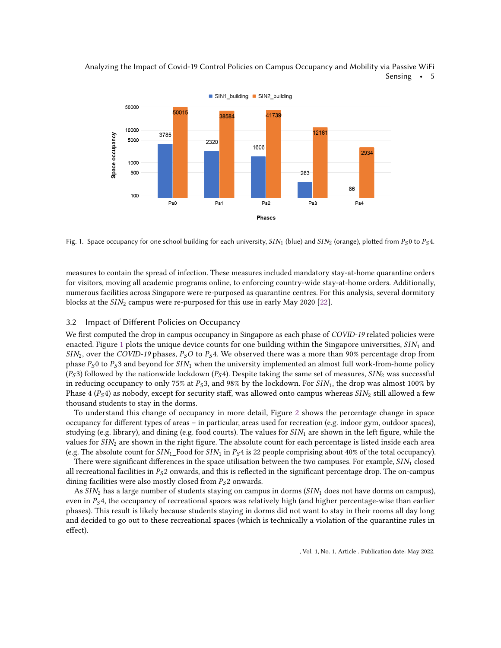

<span id="page-4-0"></span>Analyzing the Impact of Covid-19 Control Policies on Campus Occupancy and Mobility via Passive WiFi Sensing • 5

Fig. 1. Space occupancy for one school building for each university,  $SIN_1$  (blue) and  $SIN_2$  (orange), plotted from  $P_S 0$  to  $P_S 4$ .

measures to contain the spread of infection. These measures included mandatory stay-at-home quarantine orders for visitors, moving all academic programs online, to enforcing country-wide stay-at-home orders. Additionally, numerous facilities across Singapore were re-purposed as quarantine centres. For this analysis, several dormitory blocks at the  $SIN_2$  campus were re-purposed for this use in early May 2020 [\[22\]](#page-13-14).

#### 3.2 Impact of Different Policies on Occupancy

We first computed the drop in campus occupancy in Singapore as each phase of COVID-19 related policies were enacted. Figure [1](#page-4-0) plots the unique device counts for one building within the Singapore universities,  $SIN_1$  and  $\frac{SIN_2}{SIN_2}$ , over the COVID-19 phases,  $P_SO$  to  $P_S4$ . We observed there was a more than 90% percentage drop from phase  $P_S 0$  to  $P_S 3$  and beyond for  $SIN_1$  when the university implemented an almost full work-from-home policy  $(P_S 3)$  followed by the nationwide lockdown  $(P_S 4)$ . Despite taking the same set of measures,  $SIN_2$  was successful in reducing occupancy to only 75% at  $P_S3$ , and 98% by the lockdown. For  $SIN_1$ , the drop was almost 100% by Phase 4 ( $P_S$ 4) as nobody, except for security staff, was allowed onto campus whereas  $SIN_2$  still allowed a few thousand students to stay in the dorms.

To understand this change of occupancy in more detail, Figure [2](#page-5-0) shows the percentage change in space occupancy for different types of areas – in particular, areas used for recreation (e.g. indoor gym, outdoor spaces), studying (e.g. library), and dining (e.g. food courts). The values for  $SIN_1$  are shown in the left figure, while the values for  $SIN<sub>2</sub>$  are shown in the right figure. The absolute count for each percentage is listed inside each area (e.g. The absolute count for  $SIN_1$  Food for  $SIN_1$  in  $P_S 4$  is 22 people comprising about 40% of the total occupancy).

There were significant differences in the space utilisation between the two campuses. For example,  $SIN_1$  closed all recreational facilities in  $P_S2$  onwards, and this is reflected in the significant percentage drop. The on-campus dining facilities were also mostly closed from  $P_S$ 2 onwards.

As  $SIN<sub>2</sub>$  has a large number of students staying on campus in dorms ( $SIN<sub>1</sub>$  does not have dorms on campus), even in  $P_5$ 4, the occupancy of recreational spaces was relatively high (and higher percentage-wise than earlier phases). This result is likely because students staying in dorms did not want to stay in their rooms all day long and decided to go out to these recreational spaces (which is technically a violation of the quarantine rules in effect).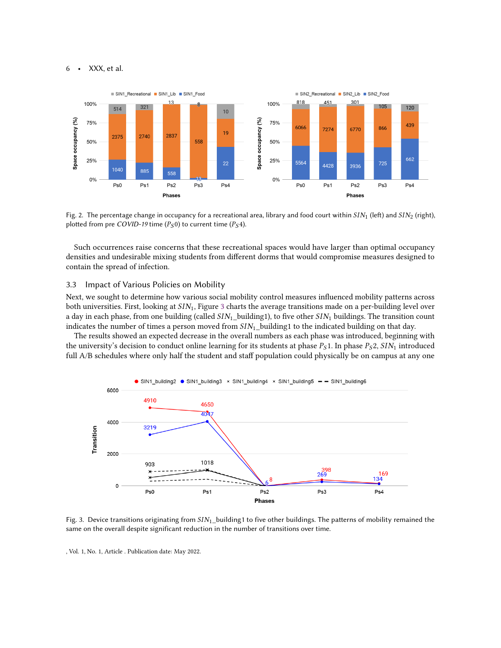<span id="page-5-0"></span>

Fig. 2. The percentage change in occupancy for a recreational area, library and food court within  $SIN_1$  (left) and  $SIN_2$  (right), plotted from pre COVID-19 time ( $P_S 0$ ) to current time ( $P_S 4$ ).

Such occurrences raise concerns that these recreational spaces would have larger than optimal occupancy densities and undesirable mixing students from different dorms that would compromise measures designed to contain the spread of infection.

#### 3.3 Impact of Various Policies on Mobility

Next, we sought to determine how various social mobility control measures influenced mobility patterns across both universities. First, looking at  $SIN_1$ , Figure [3](#page-5-1) charts the average transitions made on a per-building level over a day in each phase, from one building (called  $SIN_1$ \_building1), to five other  $SIN_1$  buildings. The transition count indicates the number of times a person moved from  $SIN_1$  building1 to the indicated building on that day.

The results showed an expected decrease in the overall numbers as each phase was introduced, beginning with the university's decision to conduct online learning for its students at phase  $P_S1$ . In phase  $P_S2$ ,  $SIN_1$  introduced full A/B schedules where only half the student and staff population could physically be on campus at any one

<span id="page-5-1"></span>

Fig. 3. Device transitions originating from  $SIN_1$ -building1 to five other buildings. The patterns of mobility remained the same on the overall despite significant reduction in the number of transitions over time.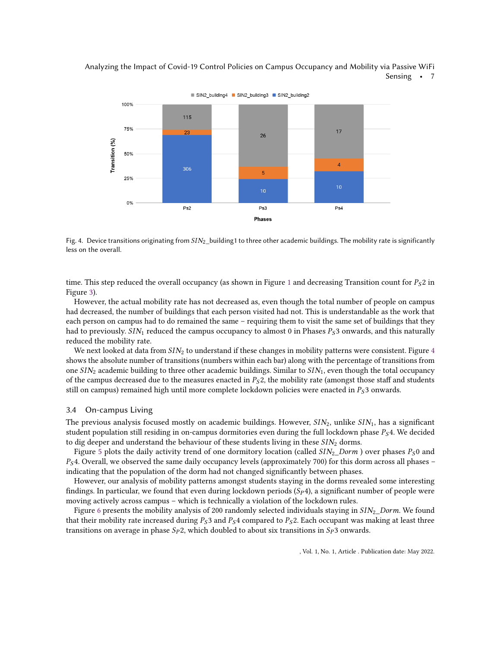<span id="page-6-0"></span>



Fig. 4. Device transitions originating from  $SIN_2$  building1 to three other academic buildings. The mobility rate is significantly less on the overall.

time. This step reduced the overall occupancy (as shown in Figure [1](#page-4-0) and decreasing Transition count for  $P_S 2$  in Figure [3\)](#page-5-1).

However, the actual mobility rate has not decreased as, even though the total number of people on campus had decreased, the number of buildings that each person visited had not. This is understandable as the work that each person on campus had to do remained the same – requiring them to visit the same set of buildings that they had to previously. SIN<sub>1</sub> reduced the campus occupancy to almost 0 in Phases  $P<sub>S</sub>$ 3 onwards, and this naturally reduced the mobility rate.

We next looked at data from  $SIN<sub>2</sub>$  to understand if these changes in mobility patterns were consistent. Figure [4](#page-6-0) shows the absolute number of transitions (numbers within each bar) along with the percentage of transitions from one  $\frac{SIN_2}{S}$  academic building to three other academic buildings. Similar to  $\frac{SIN_1}{S}$ , even though the total occupancy of the campus decreased due to the measures enacted in  $P<sub>S</sub>2$ , the mobility rate (amongst those staff and students still on campus) remained high until more complete lockdown policies were enacted in  $P_S$ 3 onwards.

## 3.4 On-campus Living

The previous analysis focused mostly on academic buildings. However,  $SIN_2$ , unlike  $SIN_1$ , has a significant student population still residing in on-campus dormitories even during the full lockdown phase  $P_S 4$ . We decided to dig deeper and understand the behaviour of these students living in these  $\langle SN_2 \rangle$  dorms.

Figure [5](#page-7-0) plots the daily activity trend of one dormitory location (called  $SIN_2_Dorm$ ) over phases  $P_S0$  and  $P<sub>S</sub>4$ . Overall, we observed the same daily occupancy levels (approximately 700) for this dorm across all phases – indicating that the population of the dorm had not changed significantly between phases.

However, our analysis of mobility patterns amongst students staying in the dorms revealed some interesting findings. In particular, we found that even during lockdown periods  $(S_P 4)$ , a significant number of people were moving actively across campus – which is technically a violation of the lockdown rules.

Figure [6](#page-7-1) presents the mobility analysis of 200 randomly selected individuals staying in  $SIN<sub>2</sub>$  Dorm. We found that their mobility rate increased during  $P_5$ 3 and  $P_5$ 4 compared to  $P_5$ 2. Each occupant was making at least three transitions on average in phase  $Sp2$ , which doubled to about six transitions in  $Sp3$  onwards.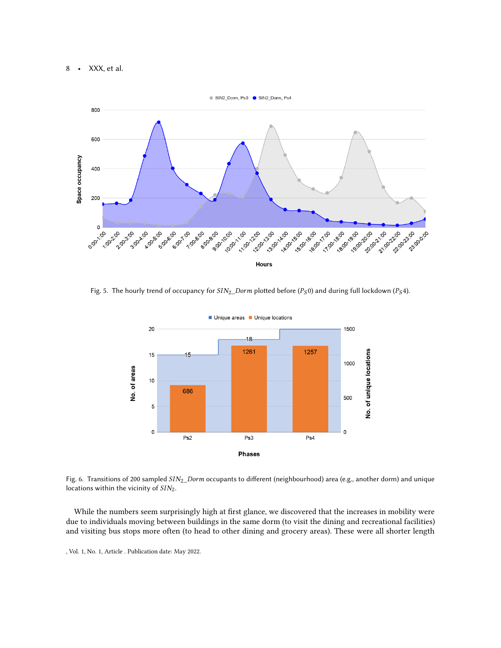<span id="page-7-0"></span>

<span id="page-7-1"></span>Fig. 5. The hourly trend of occupancy for  $\frac{SIN_2\_Dorm}{D}$  plotted before (P<sub>S</sub>0) and during full lockdown (P<sub>S</sub>4).



Fig. 6. Transitions of 200 sampled  $SIN_2_Dorm$  occupants to different (neighbourhood) area (e.g., another dorm) and unique locations within the vicinity of  $SIN<sub>2</sub>$ .

While the numbers seem surprisingly high at first glance, we discovered that the increases in mobility were due to individuals moving between buildings in the same dorm (to visit the dining and recreational facilities) and visiting bus stops more often (to head to other dining and grocery areas). These were all shorter length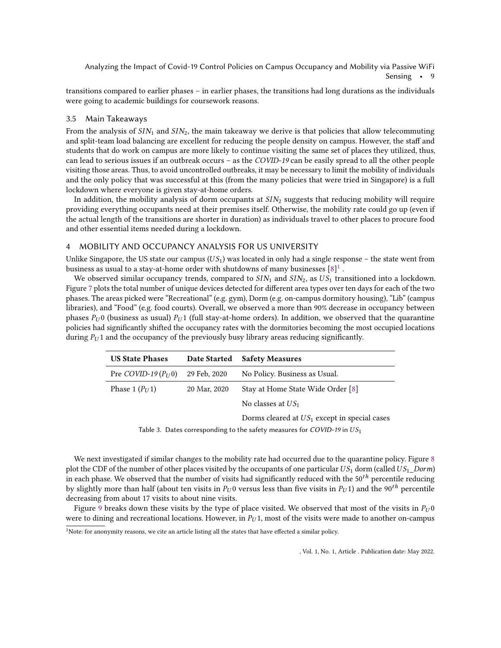Analyzing the Impact of Covid-19 Control Policies on Campus Occupancy and Mobility via Passive WiFi Sensing • 9

transitions compared to earlier phases – in earlier phases, the transitions had long durations as the individuals were going to academic buildings for coursework reasons.

#### 3.5 Main Takeaways

From the analysis of  $SIN_1$  and  $SIN_2$ , the main takeaway we derive is that policies that allow telecommuting and split-team load balancing are excellent for reducing the people density on campus. However, the staff and students that do work on campus are more likely to continue visiting the same set of places they utilized, thus, can lead to serious issues if an outbreak occurs – as the COVID-19 can be easily spread to all the other people visiting those areas. Thus, to avoid uncontrolled outbreaks, it may be necessary to limit the mobility of individuals and the only policy that was successful at this (from the many policies that were tried in Singapore) is a full lockdown where everyone is given stay-at-home orders.

In addition, the mobility analysis of dorm occupants at  $\frac{SIN_2}{S}$  suggests that reducing mobility will require providing everything occupants need at their premises itself. Otherwise, the mobility rate could go up (even if the actual length of the transitions are shorter in duration) as individuals travel to other places to procure food and other essential items needed during a lockdown.

#### <span id="page-8-1"></span>4 MOBILITY AND OCCUPANCY ANALYSIS FOR US UNIVERSITY

Unlike Singapore, the US state our campus ( $US_1$ ) was located in only had a single response – the state went from business as usual to a stay-at-home order with shutdowns of many businesses  $[\mathbf{8}]^1$  $[\mathbf{8}]^1$  .

We observed similar occupancy trends, compared to  $SIN_1$  and  $SIN_2$ , as  $US_1$  transitioned into a lockdown. Figure [7](#page-9-0) plots the total number of unique devices detected for different area types over ten days for each of the two phases. The areas picked were "Recreational" (e.g. gym), Dorm (e.g. on-campus dormitory housing), "Lib" (campus libraries), and "Food" (e.g. food courts). Overall, we observed a more than 90% decrease in occupancy between phases  $P_U$ 0 (business as usual)  $P_U$ 1 (full stay-at-home orders). In addition, we observed that the quarantine policies had significantly shifted the occupancy rates with the dormitories becoming the most occupied locations during  $P_U$ 1 and the occupancy of the previously busy library areas reducing significantly.

| <b>US State Phases</b> | Date Started | <b>Safety Measures</b>                          |
|------------------------|--------------|-------------------------------------------------|
| Pre COVID-19 $(P_U 0)$ | 29 Feb, 2020 | No Policy. Business as Usual.                   |
| Phase 1 $(P_U 1)$      | 20 Mar, 2020 | Stay at Home State Wide Order [8]               |
|                        |              | No classes at $US_1$                            |
|                        |              | Dorms cleared at $US_1$ except in special cases |

Table 3. Dates corresponding to the safety measures for COVID-19 in  $US_1$ 

We next investigated if similar changes to the mobility rate had occurred due to the quarantine policy. Figure [8](#page-9-1) plot the CDF of the number of other places visited by the occupants of one particular  $US_1$  dorm (called  $US_1$  Dorm) in each phase. We observed that the number of visits had significantly reduced with the  $50<sup>th</sup>$  percentile reducing by slightly more than half (about ten visits in  $P_U 0$  versus less than five visits in  $P_U 1$ ) and the 90<sup>th</sup> percentile decreasing from about 17 visits to about nine visits.

Figure [9](#page-10-0) breaks down these visits by the type of place visited. We observed that most of the visits in  $P_U 0$ were to dining and recreational locations. However, in  $P_U$ 1, most of the visits were made to another on-campus

<span id="page-8-0"></span> $1$ Note: for anonymity reasons, we cite an article listing all the states that have effected a similar policy.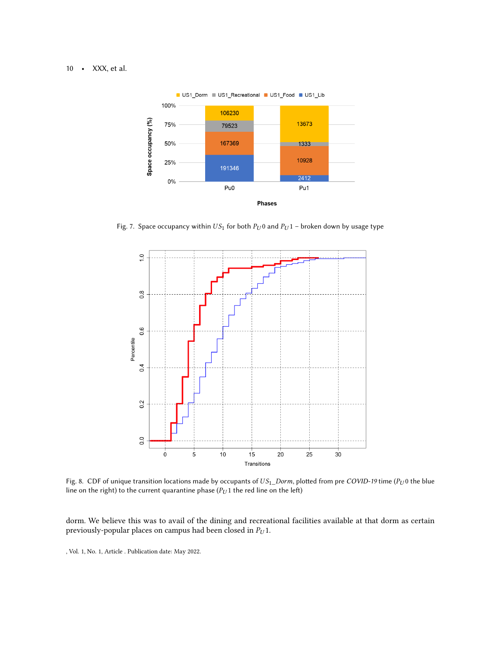<span id="page-9-0"></span>

Fig. 7. Space occupancy within  $US_1$  for both  $P_U$ 0 and  $P_U$ 1 – broken down by usage type

<span id="page-9-1"></span>

Fig. 8. CDF of unique transition locations made by occupants of  $US_1\_Dorm$ , plotted from pre COVID-19 time ( $P_U$ 0 the blue line on the right) to the current quarantine phase ( $P_U$ 1 the red line on the left)

dorm. We believe this was to avail of the dining and recreational facilities available at that dorm as certain previously-popular places on campus had been closed in  $P_U 1$ .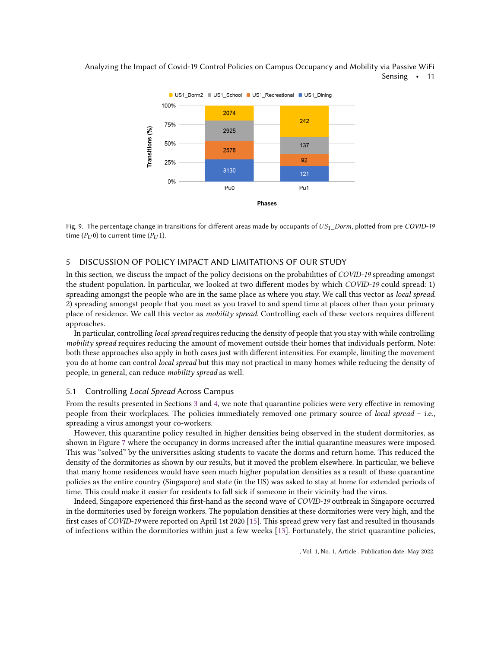

<span id="page-10-0"></span>Analyzing the Impact of Covid-19 Control Policies on Campus Occupancy and Mobility via Passive WiFi Sensing • 11

Fig. 9. The percentage change in transitions for different areas made by occupants of  $US_1$  Dorm, plotted from pre COVID-19 time ( $P_{U}$ 0) to current time ( $P_{U}$ 1).

# 5 DISCUSSION OF POLICY IMPACT AND LIMITATIONS OF OUR STUDY

In this section, we discuss the impact of the policy decisions on the probabilities of COVID-19 spreading amongst the student population. In particular, we looked at two different modes by which COVID-19 could spread: 1) spreading amongst the people who are in the same place as where you stay. We call this vector as local spread. 2) spreading amongst people that you meet as you travel to and spend time at places other than your primary place of residence. We call this vector as mobility spread. Controlling each of these vectors requires different approaches.

In particular, controlling local spread requires reducing the density of people that you stay with while controlling mobility spread requires reducing the amount of movement outside their homes that individuals perform. Note: both these approaches also apply in both cases just with different intensities. For example, limiting the movement you do at home can control local spread but this may not practical in many homes while reducing the density of people, in general, can reduce mobility spread as well.

# 5.1 Controlling Local Spread Across Campus

From the results presented in Sections [3](#page-2-1) and [4,](#page-8-1) we note that quarantine policies were very effective in removing people from their workplaces. The policies immediately removed one primary source of local spread - i.e., spreading a virus amongst your co-workers.

However, this quarantine policy resulted in higher densities being observed in the student dormitories, as shown in Figure [7](#page-9-0) where the occupancy in dorms increased after the initial quarantine measures were imposed. This was "solved" by the universities asking students to vacate the dorms and return home. This reduced the density of the dormitories as shown by our results, but it moved the problem elsewhere. In particular, we believe that many home residences would have seen much higher population densities as a result of these quarantine policies as the entire country (Singapore) and state (in the US) was asked to stay at home for extended periods of time. This could make it easier for residents to fall sick if someone in their vicinity had the virus.

Indeed, Singapore experienced this first-hand as the second wave of COVID-19 outbreak in Singapore occurred in the dormitories used by foreign workers. The population densities at these dormitories were very high, and the first cases of COVID-19 were reported on April 1st 2020 [\[15\]](#page-13-4). This spread grew very fast and resulted in thousands of infections within the dormitories within just a few weeks [\[13\]](#page-13-3). Fortunately, the strict quarantine policies,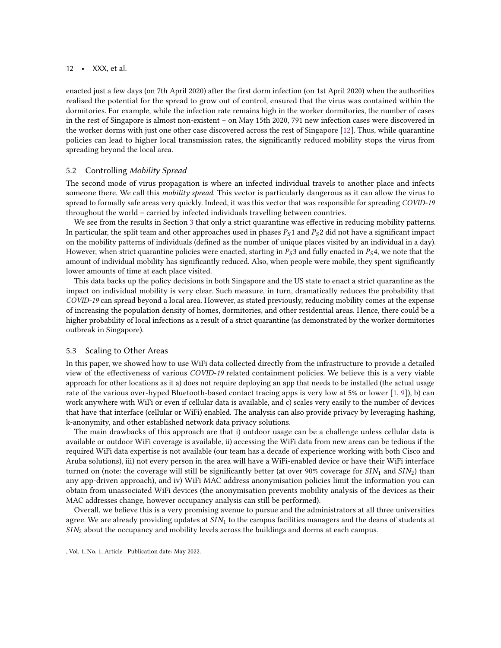enacted just a few days (on 7th April 2020) after the first dorm infection (on 1st April 2020) when the authorities realised the potential for the spread to grow out of control, ensured that the virus was contained within the dormitories. For example, while the infection rate remains high in the worker dormitories, the number of cases in the rest of Singapore is almost non-existent – on May 15th 2020, 791 new infection cases were discovered in the worker dorms with just one other case discovered across the rest of Singapore [\[12\]](#page-13-16). Thus, while quarantine policies can lead to higher local transmission rates, the significantly reduced mobility stops the virus from spreading beyond the local area.

## 5.2 Controlling Mobility Spread

The second mode of virus propagation is where an infected individual travels to another place and infects someone there. We call this mobility spread. This vector is particularly dangerous as it can allow the virus to spread to formally safe areas very quickly. Indeed, it was this vector that was responsible for spreading COVID-19 throughout the world – carried by infected individuals travelling between countries.

We see from the results in Section [3](#page-2-1) that only a strict quarantine was effective in reducing mobility patterns. In particular, the split team and other approaches used in phases  $P_51$  and  $P_52$  did not have a significant impact on the mobility patterns of individuals (defined as the number of unique places visited by an individual in a day). However, when strict quarantine policies were enacted, starting in  $P_S3$  and fully enacted in  $P_S4$ , we note that the amount of individual mobility has significantly reduced. Also, when people were mobile, they spent significantly lower amounts of time at each place visited.

This data backs up the policy decisions in both Singapore and the US state to enact a strict quarantine as the impact on individual mobility is very clear. Such measure, in turn, dramatically reduces the probability that COVID-19 can spread beyond a local area. However, as stated previously, reducing mobility comes at the expense of increasing the population density of homes, dormitories, and other residential areas. Hence, there could be a higher probability of local infections as a result of a strict quarantine (as demonstrated by the worker dormitories outbreak in Singapore).

## 5.3 Scaling to Other Areas

In this paper, we showed how to use WiFi data collected directly from the infrastructure to provide a detailed view of the effectiveness of various COVID-19 related containment policies. We believe this is a very viable approach for other locations as it a) does not require deploying an app that needs to be installed (the actual usage rate of the various over-hyped Bluetooth-based contact tracing apps is very low at 5% or lower [\[1,](#page-12-0) [9\]](#page-13-17)), b) can work anywhere with WiFi or even if cellular data is available, and c) scales very easily to the number of devices that have that interface (cellular or WiFi) enabled. The analysis can also provide privacy by leveraging hashing, k-anonymity, and other established network data privacy solutions.

The main drawbacks of this approach are that i) outdoor usage can be a challenge unless cellular data is available or outdoor WiFi coverage is available, ii) accessing the WiFi data from new areas can be tedious if the required WiFi data expertise is not available (our team has a decade of experience working with both Cisco and Aruba solutions), iii) not every person in the area will have a WiFi-enabled device or have their WiFi interface turned on (note: the coverage will still be significantly better (at over 90% coverage for  $SIN_1$  and  $SIN_2$ ) than any app-driven approach), and iv) WiFi MAC address anonymisation policies limit the information you can obtain from unassociated WiFi devices (the anonymisation prevents mobility analysis of the devices as their MAC addresses change, however occupancy analysis can still be performed).

Overall, we believe this is a very promising avenue to pursue and the administrators at all three universities agree. We are already providing updates at  $SIN<sub>1</sub>$  to the campus facilities managers and the deans of students at  $SIN<sub>2</sub>$  about the occupancy and mobility levels across the buildings and dorms at each campus.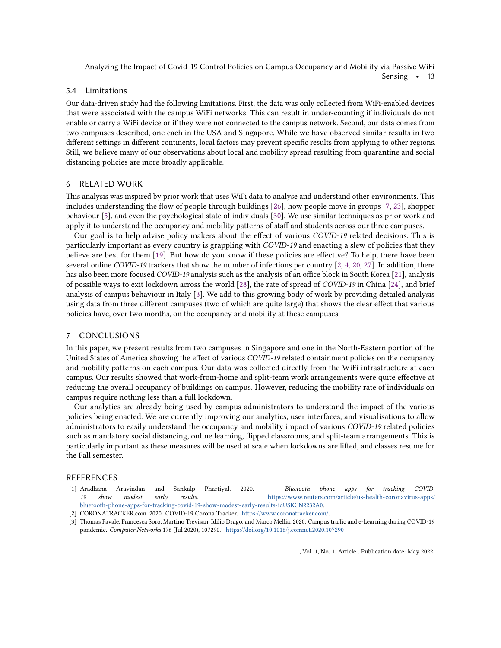Analyzing the Impact of Covid-19 Control Policies on Campus Occupancy and Mobility via Passive WiFi

Sensing • 13

#### 5.4 Limitations

Our data-driven study had the following limitations. First, the data was only collected from WiFi-enabled devices that were associated with the campus WiFi networks. This can result in under-counting if individuals do not enable or carry a WiFi device or if they were not connected to the campus network. Second, our data comes from two campuses described, one each in the USA and Singapore. While we have observed similar results in two different settings in different continents, local factors may prevent specific results from applying to other regions. Still, we believe many of our observations about local and mobility spread resulting from quarantine and social distancing policies are more broadly applicable.

# 6 RELATED WORK

This analysis was inspired by prior work that uses WiFi data to analyse and understand other environments. This includes understanding the flow of people through buildings [\[26\]](#page-13-18), how people move in groups [\[7,](#page-13-19) [23\]](#page-13-20), shopper behaviour [\[5\]](#page-13-21), and even the psychological state of individuals [\[30\]](#page-13-22). We use similar techniques as prior work and apply it to understand the occupancy and mobility patterns of staff and students across our three campuses.

Our goal is to help advise policy makers about the effect of various COVID-19 related decisions. This is particularly important as every country is grappling with COVID-19 and enacting a slew of policies that they believe are best for them [\[19\]](#page-13-7). But how do you know if these policies are effective? To help, there have been several online COVID-19 trackers that show the number of infections per country [\[2,](#page-12-1) [4,](#page-13-23) [20,](#page-13-1) [27\]](#page-13-24). In addition, there has also been more focused COVID-19 analysis such as the analysis of an office block in South Korea [\[21\]](#page-13-25), analysis of possible ways to exit lockdown across the world [\[28\]](#page-13-26), the rate of spread of COVID-19 in China [\[24\]](#page-13-27), and brief analysis of campus behaviour in Italy [\[3\]](#page-12-2). We add to this growing body of work by providing detailed analysis using data from three different campuses (two of which are quite large) that shows the clear effect that various policies have, over two months, on the occupancy and mobility at these campuses.

# 7 CONCLUSIONS

In this paper, we present results from two campuses in Singapore and one in the North-Eastern portion of the United States of America showing the effect of various COVID-19 related containment policies on the occupancy and mobility patterns on each campus. Our data was collected directly from the WiFi infrastructure at each campus. Our results showed that work-from-home and split-team work arrangements were quite effective at reducing the overall occupancy of buildings on campus. However, reducing the mobility rate of individuals on campus require nothing less than a full lockdown.

Our analytics are already being used by campus administrators to understand the impact of the various policies being enacted. We are currently improving our analytics, user interfaces, and visualisations to allow administrators to easily understand the occupancy and mobility impact of various COVID-19 related policies such as mandatory social distancing, online learning, flipped classrooms, and split-team arrangements. This is particularly important as these measures will be used at scale when lockdowns are lifted, and classes resume for the Fall semester.

# REFERENCES

- <span id="page-12-0"></span>[1] Aradhana Aravindan and Sankalp Phartiyal. 2020. Bluetooth phone apps for tracking COVID19 show modest early results. [https://www.reuters.com/article/us-health-coronavirus-apps/](https://www.reuters.com/article/us-health-coronavirus-apps/bluetooth-phone-apps-for-tracking-covid-19-show-modest-early-results-idUSKCN2232A0) [bluetooth-phone-apps-for-tracking-covid-19-show-modest-early-results-idUSKCN2232A0.](https://www.reuters.com/article/us-health-coronavirus-apps/bluetooth-phone-apps-for-tracking-covid-19-show-modest-early-results-idUSKCN2232A0)
- <span id="page-12-1"></span>[2] CORONATRACKER.com. 2020. COVID-19 Corona Tracker. [https://www.coronatracker.com/.](https://www.coronatracker.com/)
- <span id="page-12-2"></span>[3] Thomas Favale, Francesca Soro, Martino Trevisan, Idilio Drago, and Marco Mellia. 2020. Campus traffic and e-Learning during COVID-19 pandemic. Computer Networks 176 (Jul 2020), 107290. <https://doi.org/10.1016/j.comnet.2020.107290>